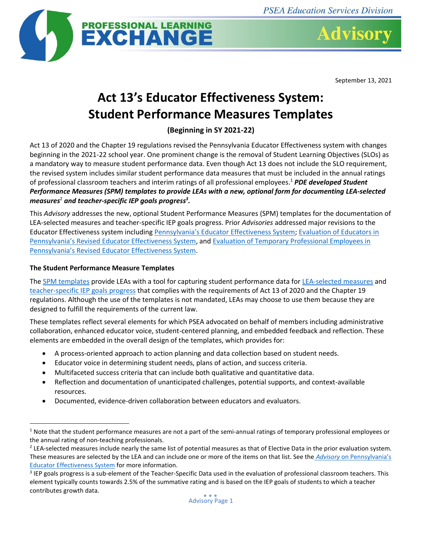

September 13, 2021

## **Act 13's Educator Effectiveness System: Student Performance Measures Templates**

**(Beginning in SY 2021-22)**

Act 13 of 2020 and the Chapter 19 regulations revised the Pennsylvania Educator Effectiveness system with changes beginning in the 2021-22 school year. One prominent change is the removal of Student Learning Objectives (SLOs) as a mandatory way to measure student performance data. Even though Act 13 does not include the SLO requirement, the revised system includes similar student performance data measures that must be included in the annual ratings of professional classroom teachers and interim ratings of all professional employees. <sup>1</sup> *PDE developed Student Performance Measures (SPM) templates to provide LEAs with a new, optional form for documenting LEA-selected measures*<sup>2</sup> *and teacher-specific IEP goals progress<sup>3</sup> .*

This *Advisory* addresses the new, optional Student Performance Measures (SPM) templates for the documentation of LEA-selected measures and teacher-specific IEP goals progress. Prior *Advisories* addressed major revisions to the Educator Effectiveness system including [Pennsylvania's Educator Effectivenes](https://www.psea.org/link/0b4721e5f19747cfa9fba40af77f2073.aspx)s System[; Evaluation of Educators in](https://www.psea.org/link/a3c29850e3ad4589a72aa192672fd5ba.aspx)  [Pennsylvania's Revised Educator Effectiveness System](https://www.psea.org/link/a3c29850e3ad4589a72aa192672fd5ba.aspx), an[d Evaluation of Temporary Professional Employees in](https://www.psea.org/link/40afe480690b45ec9aa7a00eeffcea9f.aspx)  [Pennsylvania's Revised Educator Effectiveness System](https://www.psea.org/link/40afe480690b45ec9aa7a00eeffcea9f.aspx).

## **The Student Performance Measure Templates**

The [SPM templates](https://www.pdesas.org/Frameworks/TeacherFrameworks/TeacherEffectiveness#frameworkSetStatements) provide LEAs with a tool for capturing student performance data fo[r LEA-selected measures](https://files5.pdesas.org/069164108027161015176233120131159123039053148185/Download.ashx?hash=2.2) and [teacher-specific IEP goals](https://files5.pdesas.org/104013103093253241084029172174103004250228001035/Download.ashx?hash=2.2) progress that complies with the requirements of Act 13 of 2020 and the Chapter 19 regulations. Although the use of the templates is not mandated, LEAs may choose to use them because they are designed to fulfill the requirements of the current law.

These templates reflect several elements for which PSEA advocated on behalf of members including administrative collaboration, enhanced educator voice, student-centered planning, and embedded feedback and reflection. These elements are embedded in the overall design of the templates, which provides for:

- A process-oriented approach to action planning and data collection based on student needs.
- Educator voice in determining student needs, plans of action, and success criteria.
- Multifaceted success criteria that can include both qualitative and quantitative data.
- Reflection and documentation of unanticipated challenges, potential supports, and context-available resources.
- Documented, evidence-driven collaboration between educators and evaluators.

 $1$  Note that the student performance measures are not a part of the semi-annual ratings of temporary professional employees or the annual rating of non-teaching professionals.

 $^2$  LEA-selected measures include nearly the same list of potential measures as that of Elective Data in the prior evaluation system. These measures are selected by the LEA and can include one or more of the items on that list. See the *Advisory* [on Pennsylvania's](https://www.psea.org/link/0b4721e5f19747cfa9fba40af77f2073.aspx)  [Educator Effectiveness System](https://www.psea.org/link/0b4721e5f19747cfa9fba40af77f2073.aspx) for more information.

 $3$  IEP goals progress is a sub-element of the Teacher-Specific Data used in the evaluation of professional classroom teachers. This element typically counts towards 2.5% of the summative rating and is based on the IEP goals of students to which a teacher contributes growth data.